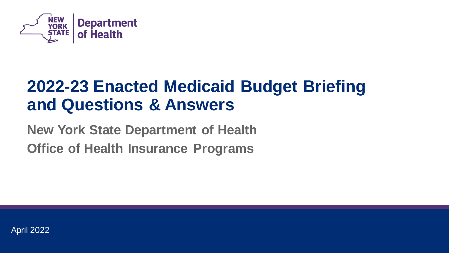

## **2022-23 Enacted Medicaid Budget Briefing and Questions & Answers**

## **New York State Department of Health Office of Health Insurance Programs**

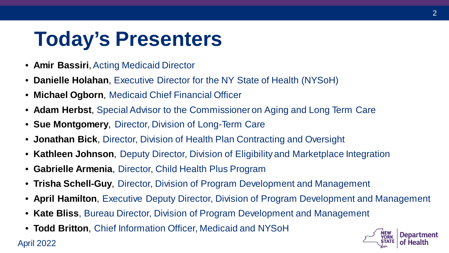# **Today's Presenters**

• **Amir Bassiri**, Acting Medicaid Director

April 2022

- **Danielle Holahan**, Executive Director for the NY State of Health (NYSoH)
- **Michael Ogborn**, Medicaid Chief Financial Officer
- **Adam Herbst**, Special Advisor to the Commissioner on Aging and Long Term Care
- **Sue Montgomery**, Director, Division of Long-Term Care
- **Jonathan Bick**, Director, Division of Health Plan Contracting and Oversight
- **Kathleen Johnson**, Deputy Director, Division of Eligibility and Marketplace Integration
- **Gabrielle Armenia**, Director, Child Health Plus Program
- **Trisha Schell-Guy**, Director, Division of Program Development and Management
- **April Hamilton**, Executive Deputy Director, Division of Program Development and Management
- **Kate Bliss**, Bureau Director, Division of Program Development and Management
- **Todd Britton**, Chief Information Officer, Medicaid and NYSoH

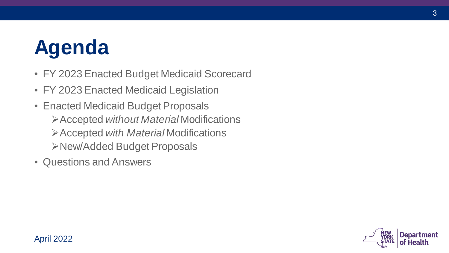# **Agenda**

- FY 2023 Enacted Budget Medicaid Scorecard
- FY 2023 Enacted Medicaid Legislation
- • Enacted Medicaid Budget Proposals Accepted *without Material* Modifications Accepted *with Material* Modifications New/Added Budget Proposals
- Questions and Answers



3

#### April 2022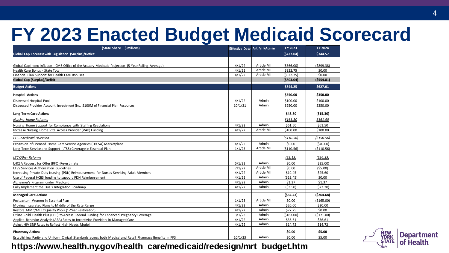# **FY 2023 Enacted Budget Medicaid Scorecard**

| (State Share \$ millions)                                                                                  |         | Effective Date Art. VII/Admin | FY 2023     | FY 2024     |
|------------------------------------------------------------------------------------------------------------|---------|-------------------------------|-------------|-------------|
| Global Cap Forecast with Legislation (Surplus)/Deficit                                                     |         |                               | (5437.04)   | \$344.57    |
|                                                                                                            |         |                               |             |             |
| Global Cap Index Inflation - CMS Office of the Actuary Medicaid Projection (5-Year Rolling Average)        | 4/1/22  | Article VII                   | ( \$366.00) | ( \$899.38) |
| Health Care Bonus - State Total                                                                            | 4/1/22  | Article VII                   | \$922.75    | \$0.00      |
| Financial Plan Support for Health Care Bonuses                                                             | 4/1/22  | Article VII                   | (5922.75)   | \$0.00      |
| Global Cap (Surplus)/Deficit                                                                               |         |                               | ( \$803.04) | ( \$554.81) |
| <b>Budget Actions</b>                                                                                      |         |                               | \$844.25    | \$627.01    |
| <b>Hospital Actions</b>                                                                                    |         |                               | \$350.00    | \$350.00    |
| Distressed Hospital Pool                                                                                   | 4/1/22  | Admin                         | \$100.00    | \$100.00    |
| Distressed Provider Account Investment (inc. \$100M of Financial Plan Resources)                           | 10/1/21 | Admin                         | \$250.00    | \$250.00    |
| Long Term Care Actions                                                                                     |         |                               | \$48.80     | (515.30)    |
| Nursing Home Reforms                                                                                       |         |                               | \$161.50    | \$161.50    |
| Nursing Home Support for Compliance with Staffing Regulations                                              | 4/1/22  | Admin                         | \$61.50     | \$61.50     |
| Increase Nursing Home Vital Access Provider (VAP) Funding                                                  | 4/1/22  | Article VII                   | \$100.00    | \$100.00    |
| <b>LTC--Medicaid Diversion</b>                                                                             |         |                               | ( \$110.56) | ( \$150.56) |
| Expansion of Licensed Home Care Service Agencies (LHCSA) Marketplace                                       | 4/1/22  | Admin                         | \$0.00      | (540.00)    |
| Long Term Service and Support (LTSS) Coverage in Essential Plan                                            | 1/1/23  | Article VII                   | (\$110.56)  | ( \$110.56) |
|                                                                                                            |         |                               |             |             |
| <b>LTC Other Reforms</b>                                                                                   |         |                               | (52.13)     | (526.23)    |
| LHCSA Request for Offer (RFO) Re-estimate                                                                  | 5/1/22  | Admin                         | \$0.00      | (525.00)    |
| LTSS Services Authorization Guidelines                                                                     | 7/1/22  | Article VII                   | \$0.00      | (55.00)     |
| Increasing Private Duty Nursing (PDN) Reimbursement for Nurses Servicing Adult Members                     | 4/1/22  | Article VII                   | \$19.45     | \$25.60     |
| Use of Federal HCBS funding to support PDN Reimbursement                                                   | 4/1/22  | Admin                         | (519.45)    | \$0.00      |
| Alzheimer's Program under Medicaid                                                                         | 4/1/22  | Admin                         | \$1.37      | \$1.37      |
| Fully Implement the Duals Integration Roadmap                                                              | 4/1/22  | Admin                         | (53.50)     | (523.20)    |
| <b>Managed Care Actions</b>                                                                                |         |                               | (534.43)    | ( \$264.68) |
| Postpartum Women in Essential Plan                                                                         | 1/1/23  | Article VII                   | \$0.00      | ( \$165.00) |
| Moving Integrated Plans to Middle of the Rate Range                                                        | 4/1/22  | Admin                         | \$20.00     | \$20.00     |
| Restore MMC/MLTC Quality Pools (1-Year Restoration)                                                        | 4/1/22  | Admin                         | \$77.25     | \$0.00      |
| Utilize Child Health Plus (CHP) to Access Federal Funding for Enhanced Pregnancy Coverage                  | 3/1/23  | Admin                         | ( \$183.00) | (\$171.00)  |
| Applied Behavior Analysis (ABA) Rates to Incentivize Providers in Managed Care                             | 4/1/22  | Admin                         | \$36.61     | \$36.61     |
| Adjust HIV SNP Rates to Reflect High Needs Model                                                           | 4/1/22  | Admin                         | \$14.72     | \$14.72     |
| <b>Pharmacy Actions</b>                                                                                    |         |                               | \$0.00      | \$5.00      |
| Establishing Parity and Uniform Clinical Standards across both Medical and Retail Pharmacy Benefits in FFS | 10/1/23 | Admin                         | \$0.00      | \$5.00      |



#### **[https://www.health.ny.gov/health\\_care/medicaid/redesign/mrt\\_budget.htm](https://www.health.ny.gov/health_care/medicaid/redesign/mrt_budget.htm)**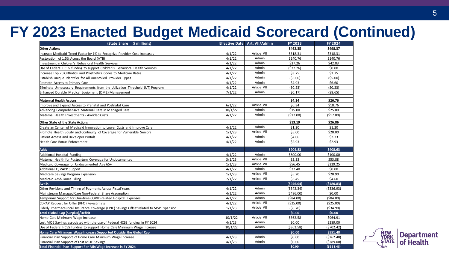## **FY 2023 Enacted Budget Medicaid Scorecard (Continued)**

| (State Share \$ millions)                                                                |         | Effective Date Art. VII/Admin | <b>FY 2023</b> | <b>FY 2024</b> |
|------------------------------------------------------------------------------------------|---------|-------------------------------|----------------|----------------|
| <b>Other Actions</b>                                                                     |         |                               | \$462.35       | \$498.37       |
| Increase Medicaid Trend Factor by 1% to Recognize Provider Cost Increases                | 4/1/22  | Article VII                   | \$318.31       | \$318.31       |
| Restoration of 1.5% Across the Board (ATB)                                               | 4/1/22  | Admin                         | \$140.76       | \$140.76       |
| Investment in Children's Behavioral Health Services                                      | 4/1/22  | Admin                         | \$37.26        | \$42.83        |
| Use of Federal HCBS funding to support Children's Behavioral Health Services             | 4/1/22  | Admin                         | ( \$37.26)     | \$0.00         |
| Increase Top 20 Orthotics and Prosthetics Codes to Medicare Rates                        | 4/1/22  | Admin                         | \$3.75         | \$3.75         |
| Establish Unique Identifier for All Unenrolled Provider Types                            | 4/1/22  | Admin                         | (55.00)        | (55.00)        |
| Promote Access to Primary Care                                                           | 4/1/22  | Admin                         | \$4.93         | \$6.60         |
| Eliminate Unnecessary Requirements from the Utilization Threshold (UT) Program           | 4/1/22  | Article VII                   | (50.23)        | (50.23)        |
| Enhanced Durable Medical Equipment (DME) Management                                      | 7/1/22  | Admin                         | (50.17)        | (58.65)        |
|                                                                                          |         |                               |                |                |
| <b>Maternal Health Actions</b>                                                           |         |                               | \$4.34         | \$26.76        |
| Improve and Expand Access to Prenatal and Postnatal Care                                 | 6/1/22  | Article VII<br>Admin          | \$6.34         | \$18.76        |
| Advancing Comprehensive Maternal Care in Managed Care                                    | 10/1/22 |                               | \$15.00        | \$25.00        |
| Maternal Health Investments - Avoided Costs                                              | 4/1/22  | Admin                         | (517.00)       | (517.00)       |
| Other State of the State Actions                                                         |         |                               | \$13.19        | \$26.86        |
| Create an Center of Medicaid Innovation to Lower Costs and Improve Care                  | 4/1/22  | Admin                         | \$1.20         | \$1.20         |
| Promote Health Equity and Continuity of Coverage for Vulnerable Seniors                  | 1/1/23  | Article VII                   | \$5.00         | \$20.00        |
| Patient Access and Developer Portals                                                     | 4/1/22  | Admin                         | \$4.06         | \$2.73         |
| Health Care Bonus Enforcement                                                            | 4/1/22  | Admin                         | \$2.93         | \$2.93         |
|                                                                                          |         |                               |                |                |
| <b>Adds</b>                                                                              |         | Admin                         | \$904.83       | \$408.63       |
| Additional Hospital Funding                                                              | 4/1/22  |                               | \$800.00       | \$100.00       |
| Maternal Health for Postpartum Coverage for Undocumented                                 | 3/1/23  | Article VII                   | \$2.33         | \$53.88        |
| Medicaid Coverage for Undocumented Age 65+                                               | 1/1/23  | Article VII                   | \$56.45        | \$229.25       |
| Additional QIVAPP Support                                                                | 4/1/22  | Admin<br>Article VII          | \$37.40        | \$0.00         |
| Medicare Savings Program Expansion                                                       | 1/1/23  |                               | \$5.20         | \$20.90        |
| Medicaid Ambulance Billing                                                               | 7/1/22  | Article VII                   | \$3.45         | \$4.60         |
| <b>Avails</b>                                                                            |         |                               | (5946.04)      | (5480.83)      |
| Other Revisions and Timing of Payments Across Fiscal Years                               | 4/1/22  | Admin<br>Admin                | ( \$342.34)    | ( \$336.93)    |
| Mainstream Managed Care Non-Federal Share Assumption                                     | 4/1/22  | Admin                         | (5486.00)      | \$0.00         |
| Temporary Support for One-time COVID-related Hospital Expenses                           | 4/1/22  | Article VII                   | $($ \$84.00)   | ( \$84.00)     |
| CDPAP Request for Offer (RFO) Re-estimate                                                | 4/1/22  |                               | (525.00)       | ( \$25.00)     |
| Elderly Pharmaceutical Insurance Coverage (EPIC) Savings Offset related to MSP Expansion | 1/1/23  | Article VII                   | (58.70)        | (534.90)       |
| <b>Total Global Cap (Surplus)/Deficit</b>                                                |         |                               | \$0.00         | \$0.00         |
| Home Care Minimum Wage Increase                                                          | 10/1/22 | Article VII<br>Admin          | \$362.58       | \$964.91       |
| Lost MOE Savings associated with the use of Federal HCBS funding in FY 2024              | 4/1/23  |                               | \$0.00         | \$289.00       |
| Use of Federal HCBS funding to support Home Care Minimum Wage Increase                   | 10/1/22 | Admin                         | (5362.58)      | (5702.42)      |
| Home Care Minimum Wage Increase Supported Outside the Global Cap                         |         |                               | \$0.00         | \$551.48       |
| Financial Plan Support of Home Care Minimum Wage Increase                                | 4/1/23  | Admin                         | \$0.00         | ( \$262.48)    |
| Financial Plan Support of Lost MOE Savings                                               | 4/1/23  | Admin                         | \$0.00         | (5289.00)      |
| Total Financial Plan Support For Min Wage Increase in FY 2024                            |         |                               | \$0.00         | (5551.48)      |

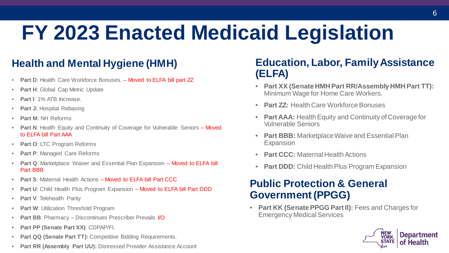# **FY 2023 Enacted Medicaid Legislation**

## **Health and Mental Hygiene (HMH)**

- **Part D**: Health Care Workforce Bonuses. Moved to ELFA bill part ZZ
- **Part H**: Global Cap Metric Update
- **Part I**: 1% ATB Increase.
- **Part J: Hospital Rebasing**
- **Part M**: NH Reforms
- • **Part N**: Health Equity and Continuity of Coverage for Vulnerable Seniors Moved to ELFA bill Part AAA
- **Part O**: LTC Program Reforms
- **Part P: Managed Care Reforms**
- **Part Q: Marketplace Waiver and Essential Plan Expansion Moved to ELFA bill** Part BBB
- **Part S**: Maternal Health Actions Moved to ELFA bill Part CCC
- **Part U**: Child Health Plus Program Expansion Moved to ELFA bill Part DDD
- **Part V**: Telehealth Parity
- **Part W**: Utilization Threshold Program
- **Part BB**: Pharmacy Discontinues Prescriber Prevails I/O
- **Part PP (Senate Part XX)**: CDPAP/FI.
- **Part QQ (Senate Part TT):** Competitive Bidding Requirements.
- **Part RR (Assembly Part UU):** Distressed Provider Assistance Account

## **Education, Labor, Family Assistance (ELFA)**

- **Part XX (Senate HMH Part RR/Assembly HMH Part TT):** Minimum Wage for Home Care Workers.
- **Part ZZ:** Health Care Workforce Bonuses
- • **Part AAA:** Health Equity and Continuity of Coverage for Vulnerable Seniors
- **Part BBB:** Marketplace Waive and Essential Plan Expansion
- **Part CCC: Maternal Health Actions**
- **Part DDD:** Child Health Plus Program Expansion

## **Public Protection & General Government (PPGG)**

 • **Part KK (Senate PPGG Part II):** Fees and Charges for Emergency Medical Services

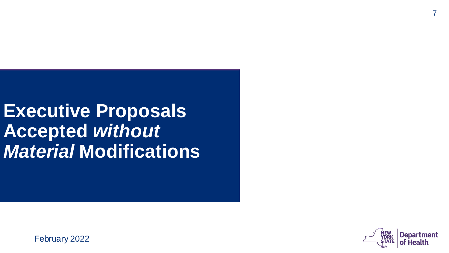**Executive Proposals Accepted** *without Material* **Modifications** 



February 2022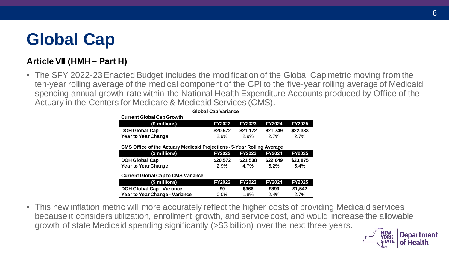## **Global Cap**

### **Article VII (HMH – Part H)**

 • The SFY 2022-23 Enacted Budget includes the modification of the Global Cap metric moving from the ten-year rolling average of the medical component of the CPI to the five-year rolling average of Medicaid Actuary in the Centers for Medicare & Medicaid Services (CMS). spending annual growth rate within the National Health Expenditure Accounts produced by Office of the

| <b>Global Cap Variance</b>                                                     |               |               |               |               |
|--------------------------------------------------------------------------------|---------------|---------------|---------------|---------------|
| <b>Current Global Cap Growth</b>                                               |               |               |               |               |
| (\$ millions)                                                                  | <b>FY2022</b> | <b>FY2023</b> | <b>FY2024</b> | <b>FY2025</b> |
| <b>DOH Global Cap</b>                                                          | \$20,572      | \$21,172      | \$21,749      | \$22,333      |
| <b>Year to Year Change</b>                                                     | 2.9%          | 2.9%          | 2.7%          | 2.7%          |
|                                                                                |               |               |               |               |
| <b>CMS Office of the Actuary Medicaid Projections - 5-Year Rolling Average</b> |               |               |               |               |
| (\$ millions)                                                                  | <b>FY2022</b> | <b>FY2023</b> | <b>FY2024</b> | <b>FY2025</b> |
| <b>DOH Global Cap</b>                                                          | \$20,572      | \$21,538      | \$22,649      | \$23,875      |
| <b>Year to Year Change</b>                                                     | 2.9%          | 4.7%          | $5.2\%$       | 5.4%          |
| <b>Current Global Cap to CMS Variance</b>                                      |               |               |               |               |
| (\$ millions)                                                                  | <b>FY2022</b> | <b>FY2023</b> | <b>FY2024</b> | <b>FY2025</b> |
| <b>DOH Global Cap - Variance</b>                                               | \$0           | \$366         | \$899         | \$1,542       |
| <b>Year to Year Change - Variance</b>                                          | $0.0\%$       | 1.8%          | 2.4%          | 2.7%          |

 • This new inflation metric will more accurately reflect the higher costs of providing Medicaid services because it considers utilization, enrollment growth, and service cost, and would increase the allowable growth of state Medicaid spending significantly (>\$3 billion) over the next three years.

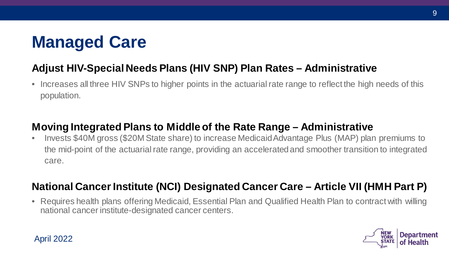## **Managed Care**

## **Adjust HIV-Special Needs Plans (HIV SNP) Plan Rates – Administrative**

 • Increases all three HIV SNPs to higher points in the actuarial rate range to reflect the high needs of this population.

## **Moving Integrated Plans to Middle of the Rate Range – Administrative**

 • Invests \$40M gross (\$20M State share) to increase MedicaidAdvantage Plus (MAP) plan premiums to the mid-point of the actuarial rate range, providing an accelerated and smoother transition to integrated care.

## **National Cancer Institute (NCI) Designated Cancer Care – Article VII (HMH Part P)**

• Requires health plans offering Medicaid, Essential Plan and Qualified Health Plan to contract with willing national cancer institute-designated cancer centers.



#### April 2022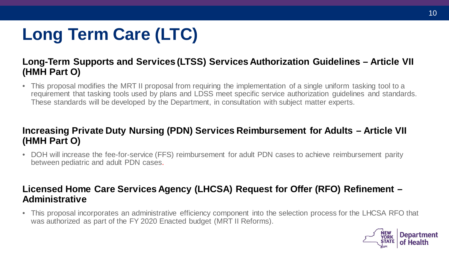# **Long Term Care (LTC)**

### **Long-Term Supports and Services (LTSS) Services Authorization Guidelines – Article VII (HMH Part O)**

 • This proposal modifies the MRT II proposal from requiring the implementation of a single uniform tasking tool to a requirement that tasking tools used by plans and LDSS meet specific service authorization guidelines and standards. These standards will be developed by the Department, in consultation with subject matter experts.

### **Increasing Private Duty Nursing (PDN) Services Reimbursement for Adults – Article VII (HMH Part O)**

 • DOH will increase the fee-for-service (FFS) reimbursement for adult PDN cases to achieve reimbursement parity between pediatric and adult PDN cases.

### **Licensed Home Care Services Agency (LHCSA) Request for Offer (RFO) Refinement – Administrative**

 • This proposal incorporates an administrative efficiency component into the selection process for the LHCSA RFO that was authorized as part of the FY 2020 Enacted budget (MRT II Reforms).

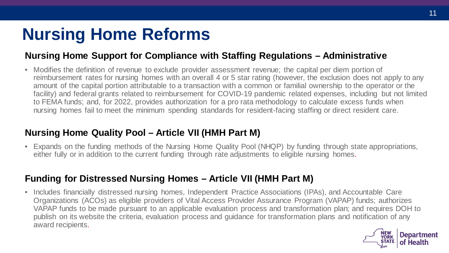## **Nursing Home Reforms**

### **Nursing Home Support for Compliance with Staffing Regulations – Administrative**

 • Modifies the definition of revenue to exclude provider assessment revenue; the capital per diem portion of reimbursement rates for nursing homes with an overall 4 or 5 star rating (however, the exclusion does not apply to any amount of the capital portion attributable to a transaction with a common or familial ownership to the operator or the to FEMA funds; and, for 2022, provides authorization for a pro rata methodology to calculate excess funds when facility) and federal grants related to reimbursement for COVID-19 pandemic related expenses, including but not limited nursing homes fail to meet the minimum spending standards for resident-facing staffing or direct resident care.

### **Nursing Home Quality Pool – Article VII (HMH Part M)**

 either fully or in addition to the current funding through rate adjustments to eligible nursing homes. • Expands on the funding methods of the Nursing Home Quality Pool (NHQP) by funding through state appropriations,

### **Funding for Distressed Nursing Homes – Article VII (HMH Part M)**

 • Includes financially distressed nursing homes, Independent Practice Associations (IPAs), and Accountable Care Organizations (ACOs) as eligible providers of Vital Access Provider Assurance Program (VAPAP) funds; authorizes VAPAP funds to be made pursuant to an applicable evaluation process and transformation plan; and requires DOH to publish on its website the criteria, evaluation process and guidance for transformation plans and notification of any award recipients.

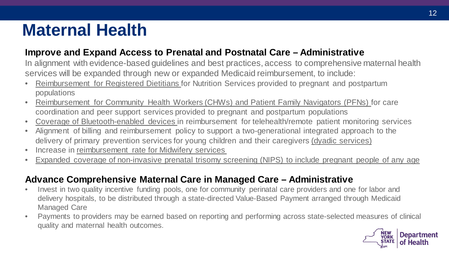## **Maternal Health**

### **Improve and Expand Access to Prenatal and Postnatal Care – Administrative**

 In alignment with evidence-based guidelines and best practices, access to comprehensive maternal health services will be expanded through new or expanded Medicaid reimbursement, to include:

- Reimbursement for Registered Dietitians for Nutrition Services provided to pregnant and postpartum populations
- • Reimbursement for Community Health Workers (CHWs) and Patient Family Navigators (PFNs) for care coordination and peer support services provided to pregnant and postpartum populations
- Coverage of Bluetooth-enabled devices in reimbursement for telehealth/remote patient monitoring services
- • Alignment of billing and reimbursement policy to support a two-generational integrated approach to the delivery of primary prevention services for young children and their caregivers (dyadic services)
- Increase in reimbursement rate for Midwifery services
- Expanded coverage of non-invasive prenatal trisomy screening (NIPS) to include pregnant people of any age

### **Advance Comprehensive Maternal Care in Managed Care – Administrative**

- • Invest in two quality incentive funding pools, one for community perinatal care providers and one for labor and delivery hospitals, to be distributed through a state-directed Value-Based Payment arranged through Medicaid Managed Care
- • Payments to providers may be earned based on reporting and performing across state-selected measures of clinical quality and maternal health outcomes.

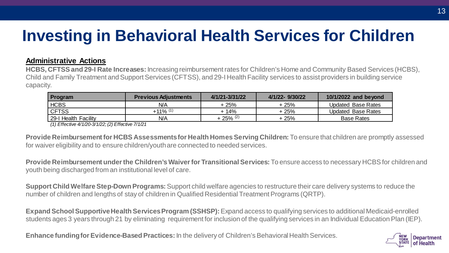## **Investing in Behavioral Health Services for Children**

#### **Administrative Actions**

**HCBS, CFTSS and 29-I Rate Increases:** Increasing reimbursement rates for Children's Home and Community Based Services (HCBS), Child and Family Treatment and Support Services (CFTSS), and 29-I Health Facility services to assist providers in building service capacity.

| <b>Program</b>       | <b>Previous Adjustments</b> | 4/1/21-3/31/22         | 4/1/22-9/30/22 | 10/1/2022 and beyond      |
|----------------------|-----------------------------|------------------------|----------------|---------------------------|
| <b>HCBS</b>          | N/A                         | + 25%                  | + 25%          | <b>Updated Base Rates</b> |
| <b>CFTSS</b>         | $+11\%$ $^{(1)}$            | + 14%                  | + 25%          | <b>Updated Base Rates</b> |
| 29-I Health Facility | N/A                         | $+25\%$ <sup>(2)</sup> | + 25%          | <b>Base Rates</b>         |

*(1) Effective 4/1/20-3/1/22; (2) Effective 7/1/21* 

 **Provide Reimbursement for HCBS Assessments for Health Homes Serving Children:** To ensure that children are promptly assessed for waiver eligibility and to ensure children/youth are connected to needed services.

**Provide Reimbursement under the Children's Waiver for Transitional Services:** To ensure access to necessary HCBS for children and youth being discharged from an institutional level of care.

**Support Child Welfare Step-Down Programs:** Support child welfare agencies to restructure their care delivery systems to reduce the number of children and lengths of stay of children in Qualified Residential Treatment Programs (QRTP).

 students ages 3 years through 21 by eliminating requirement for inclusion of the qualifying services in an Individual Education Plan (IEP). **Expand School Supportive Health Services Program (SSHSP):** Expand access to qualifying services to additional Medicaid-enrolled

**Enhance funding for Evidence-Based Practices:** In the delivery of Children's Behavioral Health Services.

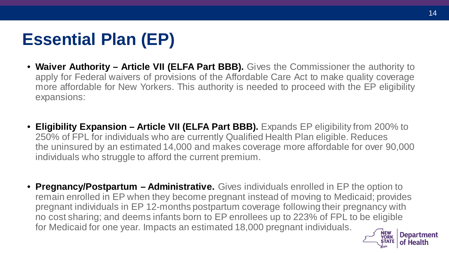## **Essential Plan (EP)**

- **Waiver Authority Article VII (ELFA Part BBB).** Gives the Commissioner the authority to apply for Federal waivers of provisions of the Affordable Care Act to make quality coverage more affordable for New Yorkers. This authority is needed to proceed with the EP eligibility expansions:
- 250% of FPL for individuals who are currently Qualified Health Plan eligible. Reduces • **Eligibility Expansion – Article VII (ELFA Part BBB).** Expands EP eligibility from 200% to the uninsured by an estimated 14,000 and makes coverage more affordable for over 90,000 individuals who struggle to afford the current premium.
- **EXECUTE**<br>ANEW YORK Department remain enrolled in EP when they become pregnant instead of moving to Medicaid; provides pregnant individuals in EP 12-months postpartum coverage following their pregnancy with no cost sharing; and deems infants born to EP enrollees up to 223% of FPL to be eligible for Medicaid for one year. Impacts an estimated 18,000 pregnant individuals. • **Pregnancy/Postpartum – Administrative.** Gives individuals enrolled in EP the option to

70RK **ATE** 

of Health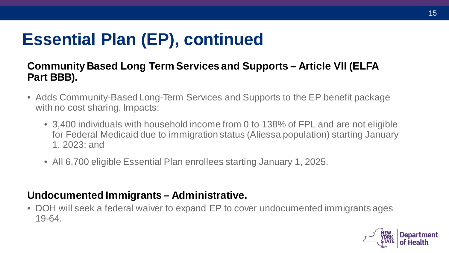## **Essential Plan (EP), continued**

## **Community Based Long Term Services and Supports – Article VII (ELFA Part BBB).**

- • Adds Community-Based Long-Term Services and Supports to the EP benefit package with no cost sharing. Impacts:
	- • 3,400 individuals with household income from 0 to 138% of FPL and are not eligible for Federal Medicaid due to immigration status (Aliessa population) starting January 1, 2023; and
	- All 6,700 eligible Essential Plan enrollees starting January 1, 2025.

## **Undocumented Immigrants – Administrative.**

 • DOH will seek a federal waiver to expand EP to cover undocumented immigrants ages 19-64.

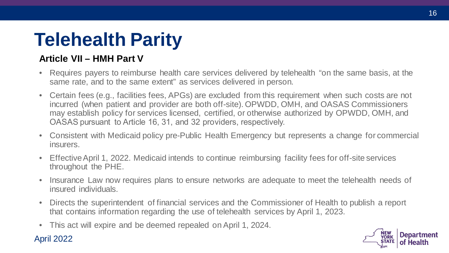# **Telehealth Parity**

## **Article VII – HMH Part V**

- • Requires payers to reimburse health care services delivered by telehealth "on the same basis, at the same rate, and to the same extent" as services delivered in person.
- • Certain fees (e.g., facilities fees, APGs) are excluded from this requirement when such costs are not incurred (when patient and provider are both off-site). OPWDD, OMH, and OASAS Commissioners may establish policy for services licensed, certified, or otherwise authorized by OPWDD, OMH, and OASAS pursuant to Article 16, 31, and 32 providers, respectively.
- • Consistent with Medicaid policy pre-Public Health Emergency but represents a change for commercial insurers.
- • Effective April 1, 2022. Medicaid intends to continue reimbursing facility fees for off-site services throughout the PHE.
- • Insurance Law now requires plans to ensure networks are adequate to meet the telehealth needs of insured individuals.
- • Directs the superintendent of financial services and the Commissioner of Health to publish a report that contains information regarding the use of telehealth services by April 1, 2023.
- This act will expire and be deemed repealed on April 1, 2024.

### April 2022

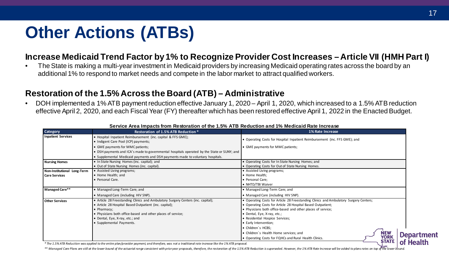## **Other Actions (ATBs)**

#### **Increase Medicaid Trend Factor by 1% to Recognize Provider Cost Increases – Article VII (HMH Part I)**

 additional 1% to respond to market needs and compete in the labor market to attract qualified workers. • The State is making a multi-year investment in Medicaid providers by increasing Medicaid operating rates across the board by an

#### **Restoration of the 1.5% Across the Board (ATB) – Administrative**

 • DOH implemented a 1% ATB payment reduction effective January 1, 2020 – April 1, 2020, which increased to a 1.5% ATB reduction effective April 2, 2020, and each Fiscal Year (FY) thereafter which has been restored effective April 1, 2022 in the Enacted Budget.

| <b>Category</b>             | Restoration of 1.5% ATB Reduction *                                                                                                                                                                                                                                                     | <b>1% Rate Increase</b>                                                                                                                                                                                                                                                                                                                                                                                                                                        |                   |
|-----------------------------|-----------------------------------------------------------------------------------------------------------------------------------------------------------------------------------------------------------------------------------------------------------------------------------------|----------------------------------------------------------------------------------------------------------------------------------------------------------------------------------------------------------------------------------------------------------------------------------------------------------------------------------------------------------------------------------------------------------------------------------------------------------------|-------------------|
| <b>Inpatient Services</b>   | • Hospital Inpatient Reimbursement (inc. capital & FFS GME);<br>. Indigent Care Pool (ICP) payments;                                                                                                                                                                                    | • Operating Costs for Hospital Inpatient Reimbursement (inc. FFS GME); and                                                                                                                                                                                                                                                                                                                                                                                     |                   |
|                             | • GME payments for MMC patients;                                                                                                                                                                                                                                                        | • GME payments for MMC patients;                                                                                                                                                                                                                                                                                                                                                                                                                               |                   |
|                             | • DSH payments and ICA's made to governmental hospitals operated by the State or SUNY; and                                                                                                                                                                                              |                                                                                                                                                                                                                                                                                                                                                                                                                                                                |                   |
|                             | • Supplemental Medicaid payments and DSH payments made to voluntary hospitals.                                                                                                                                                                                                          |                                                                                                                                                                                                                                                                                                                                                                                                                                                                |                   |
| <b>Nursing Homes</b>        | • In State Nursing Homes (inc. capital); and                                                                                                                                                                                                                                            | • Operating Costs for In State Nursing Homes; and                                                                                                                                                                                                                                                                                                                                                                                                              |                   |
|                             | . Out of State Nursing Homes (inc. capital).                                                                                                                                                                                                                                            | • Operating Costs for Out of State Nursing Homes.                                                                                                                                                                                                                                                                                                                                                                                                              |                   |
| Non-Institutional Long-Term | • Assisted Living programs;                                                                                                                                                                                                                                                             | • Assisted Living programs;                                                                                                                                                                                                                                                                                                                                                                                                                                    |                   |
| <b>Care Services</b>        | • Home Health; and                                                                                                                                                                                                                                                                      | • Home Health:                                                                                                                                                                                                                                                                                                                                                                                                                                                 |                   |
|                             | ● Personal Care.                                                                                                                                                                                                                                                                        | • Personal Care:                                                                                                                                                                                                                                                                                                                                                                                                                                               |                   |
|                             |                                                                                                                                                                                                                                                                                         | • NHTD/TBI Waiver                                                                                                                                                                                                                                                                                                                                                                                                                                              |                   |
| Managed Care**              | • Managed Long-Term Care; and                                                                                                                                                                                                                                                           | • Managed Long-Term Care; and                                                                                                                                                                                                                                                                                                                                                                                                                                  |                   |
|                             | • Managed Care (including HIV SNP).                                                                                                                                                                                                                                                     | • Managed Care (including HIV SNP).                                                                                                                                                                                                                                                                                                                                                                                                                            |                   |
| <b>Other Services</b>       | • Article 28 Freestanding Clinics and Ambulatory Surgery Centers (inc. capital);<br>• Article 28 Hospital Based Outpatient (inc. capital);<br>• Pharmacy:<br>. Physicians both office-based and other places of service;<br>• Dental, Eye, X-ray, etc.; and<br>• Supplemental Payments. | • Operating Costs for Article 28 Freestanding Clinics and Ambulatory Surgery Centers;<br>• Operating Costs for Article 28 Hospital Based Outpatient;<br>• Physicians both office-based and other places of service;<br>• Dental, Eye, X-ray, etc.;<br>• Residential Hospice Services;<br>• Early Intervention;<br>• Children's HCBS:<br><b>NEW<br/>YORK</b><br>• Children's Health Home services; and<br>• Operating Costs for FQHCs and Rural Health Clinics. | <b>Department</b> |
|                             | * The 1.5% ATB Reduction was applied to the entire plan/provider payment, and therefore, was not a traditional rate increase like the 1% ATB proposal.                                                                                                                                  | <b>STATE</b>                                                                                                                                                                                                                                                                                                                                                                                                                                                   | of Health         |

#### **Service Area Impacts from Restoration of the 1.5% ATB Reduction and 1% Medicaid Rate Increase**

\*\* Managed Care Plans are still at the lower bound of the actuarial range consistent with prioryear proposals, therefore, the restoration of the 1.5% ATB Reduction is superseded. However, the 1% ATB Rate Increase will be a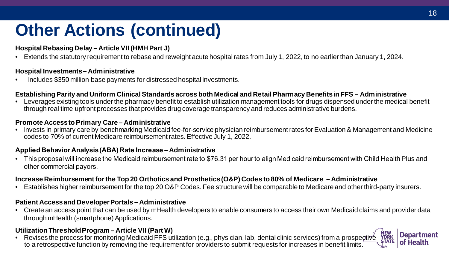## **Other Actions (continued)**

#### **Hospital Rebasing Delay – Article VII (HMH Part J)**

• Extends the statutory requirement to rebase and reweight acute hospital rates from July 1, 2022, to no earlier than January 1, 2024.

#### **Hospital Investments– Administrative**

• Includes \$350 million base payments for distressed hospital investments.

#### **Establishing Parity and Uniform Clinical Standards across both Medical and Retail Pharmacy Benefits in FFS – Administrative**

 • Leverages existing tools under the pharmacy benefit to establish utilization management tools for drugs dispensed under the medical benefit through real time upfront processes that provides drug coverage transparency and reduces administrative burdens.

#### **Promote Access to Primary Care – Administrative**

• Invests in primary care by benchmarking Medicaid fee-for-service physician reimbursement rates for Evaluation & Management and Medicine codes to 70% of current Medicare reimbursement rates. Effective July 1, 2022.

#### **Applied Behavior Analysis(ABA) Rate Increase – Administrative**

 • This proposal will increase the Medicaid reimbursement rate to \$76.31 per hour to align Medicaid reimbursement with Child Health Plus and other commercial payors.

#### **Increase Reimbursement for the Top 20 Orthotics and Prosthetics (O&P) Codes to 80% of Medicare – Administrative**

• Establishes higher reimbursement for the top 20 O&P Codes. Fee structure will be comparable to Medicare and other third-party insurers.

#### **Patient Access and Developer Portals – Administrative**

 • Create an access point that can be used by mHealth developers to enable consumers to access their own Medicaid claims and provider data through mHealth (smartphone) Applications.

#### **Utilization Threshold Program – Article VII (Part W)**

OTIVE NEW **STATE**  to a retrospective function by removing the requirement for providers to submit requests for increases in benefit limits. • Revises the process for monitoring Medicaid FFS utilization (e.g., physician, lab, dental clinic services) from a prospective

**RK** 

**Department** of Health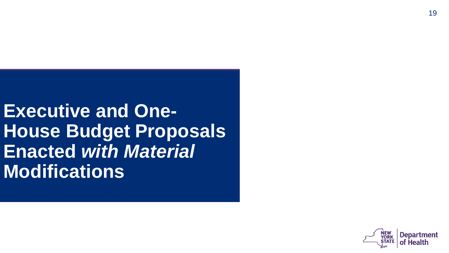**Executive and One-House Budget Proposals Enacted** *with Material*  **Modifications** 

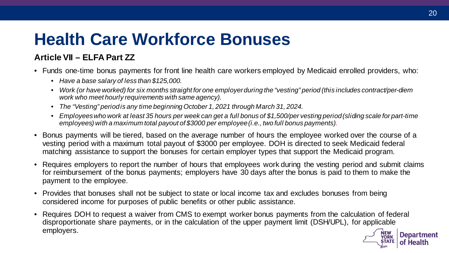## **Health Care Workforce Bonuses**

### **Article VII – ELFA Part ZZ**

- • Funds one-time bonus payments for front line health care workers employed by Medicaid enrolled providers, who:
	- *Have a base salary of less than \$125,000.*
	- *Work (or have worked) for six months straight for one employer during the "vesting" period (this includes contract/per-diem work who meet hourly requirements with same agency).*
	- *The "Vesting" period is any time beginning October 1, 2021 through March 31, 2024.*
	- *Employees who work at least 35 hours per week can get a full bonus of \$1,500/per vesting period (sliding scale for part-time employees) with a maximum total payout of \$3000 per employee (i.e., two full bonus payments).*
- • Bonus payments will be tiered, based on the average number of hours the employee worked over the course of a vesting period with a maximum total payout of \$3000 per employee. DOH is directed to seek Medicaid federal matching assistance to support the bonuses for certain employer types that support the Medicaid program.
- • Requires employers to report the number of hours that employees work during the vesting period and submit claims for reimbursement of the bonus payments; employers have 30 days after the bonus is paid to them to make the payment to the employee.
- • Provides that bonuses shall not be subject to state or local income tax and excludes bonuses from being considered income for purposes of public benefits or other public assistance.
- disproportionate share payments, or in the calculation of the upper payment limit (DSH/UPL), for applicable<br>employers.<br>STATE **YORK Department**  • Requires DOH to request a waiver from CMS to exempt worker bonus payments from the calculation of federal employers.

**ATE** 

of Health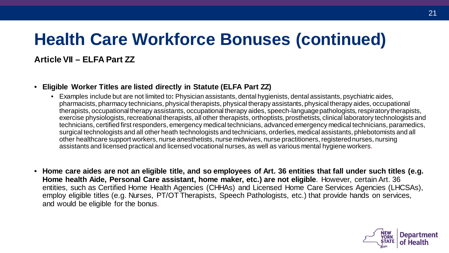## **Health Care Workforce Bonuses (continued)**

#### **Article VII – ELFA Part ZZ**

#### • **Eligible Worker Titles are listed directly in Statute (ELFA Part ZZ)**

- Examples include but are not limited to**:** Physician assistants, dental hygienists, dental assistants, psychiatric aides, pharmacists, pharmacy technicians, physical therapists, physical therapy assistants, physical therapy aides, occupational therapists, occupational therapy assistants, occupational therapy aides, speech-language pathologists, respiratory therapists, exercise physiologists, recreational therapists, all other therapists, orthoptists, prosthetists, clinical laboratory technologists and technicians, certified first responders, emergency medical technicians, advanced emergency medical technicians, paramedics, surgical technologists and all other heath technologists and technicians, orderlies, medical assistants, phlebotomists and all other healthcare support workers, nurse anesthetists, nurse midwives, nurse practitioners, registered nurses, nursing assistants and licensed practical and licensed vocational nurses, as well as various mental hygiene workers.
- **Home care aides are not an eligible title, and so employees of Art. 36 entities that fall under such titles (e.g. Home health Aide, Personal Care assistant, home maker, etc.) are not eligible**. However, certain Art. 36 entities, such as Certified Home Health Agencies (CHHAs) and Licensed Home Care Services Agencies (LHCSAs), employ eligible titles (e.g. Nurses, PT/OT Therapists, Speech Pathologists, etc.) that provide hands on services, and would be eligible for the bonus.

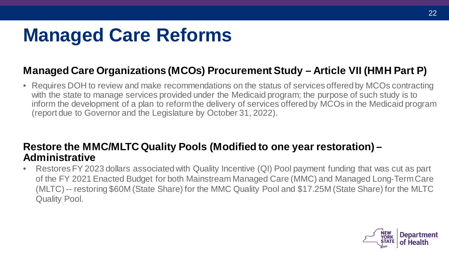# **Managed Care Reforms**

## **Managed Care Organizations (MCOs) Procurement Study – Article VII (HMH Part P)**

 • Requires DOH to review and make recommendations on the status of services offered by MCOs contracting with the state to manage services provided under the Medicaid program; the purpose of such study is to inform the development of a plan to reformthe delivery of services offered by MCOs in the Medicaid program (report due to Governor and the Legislature by October 31, 2022).

### **Restore the MMC/MLTC Quality Pools (Modified to one year restoration) – Administrative**

 • Restores FY 2023 dollars associated with Quality Incentive (QI) Pool payment funding that was cut as part of the FY 2021 Enacted Budget for both Mainstream Managed Care (MMC) and Managed Long-Term Care (MLTC) -- restoring \$60M (State Share) for the MMC Quality Pool and \$17.25M (State Share) for the MLTC Quality Pool.

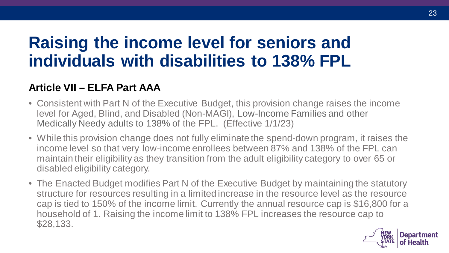## **Raising the income level for seniors and individuals with disabilities to 138% FPL**

### **Article VII – ELFA Part AAA**

- • Consistent with Part N of the Executive Budget, this provision change raises the income level for Aged, Blind, and Disabled (Non-MAGI), Low-Income Families and other Medically Needy adults to 138% of the FPL. (Effective 1/1/23)
- income level so that very low-income enrollees between 87% and 138% of the FPL can maintain their eligibility as they transition from the adult eligibility category to over 65 or • While this provision change does not fully eliminate the spend-down program, it raises the disabled eligibility category.
- • The Enacted Budget modifies Part N of the Executive Budget by maintaining the statutory structure for resources resulting in a limited increase in the resource level as the resource cap is tied to 150% of the income limit. Currently the annual resource cap is \$16,800 for a household of 1. Raising the income limit to 138% FPL increases the resource cap to \$28,133.

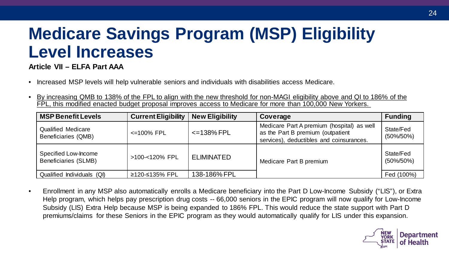## **Medicare Savings Program (MSP) Eligibility Level Increases**

**Article VII – ELFA Part AAA** 

- Increased MSP levels will help vulnerable seniors and individuals with disabilities access Medicare.
- • By increasing QMB to 138% of the FPL to align with the new threshold for non-MAGI eligibility above and QI to 186% of the FPL, this modified enacted budget proposal improves access to Medicare for more than 100,000 New Yorkers.

| <b>MSP Benefit Levels</b>                           | <b>Current Eligibility</b> | <b>New Eligibility</b> | Coverage                                                                                                                    | <b>Funding</b>             |
|-----------------------------------------------------|----------------------------|------------------------|-----------------------------------------------------------------------------------------------------------------------------|----------------------------|
| <b>Qualified Medicare</b><br>Beneficiaries (QMB)    | $\leq$ 100% FPL            | $\leq$ 138% FPL        | Medicare Part A premium (hospital) as well<br>as the Part B premium (outpatient<br>services), deductibles and coinsurances. | State/Fed<br>$(50\%/50\%)$ |
| Specified Low-Income<br><b>Beneficiaries (SLMB)</b> | >100-<120% FPL             | <b>ELIMINATED</b>      | Medicare Part B premium                                                                                                     | State/Fed<br>$(50\%/50\%)$ |
| Qualified Individuals (QI)                          | ≥120-≤135% FPL             | 138-186% FPL           |                                                                                                                             | Fed (100%)                 |

 Help program, which helps pay prescription drug costs -- 66,000 seniors in the EPIC program will now qualify for Low-Income Subsidy (LIS) Extra Help because MSP is being expanded to 186% FPL. This would reduce the state support with Part D premiums/claims for these Seniors in the EPIC program as they would automatically qualify for LIS under this expansion. • Enrollment in any MSP also automatically enrolls a Medicare beneficiary into the Part D Low-Income Subsidy ("LIS"), or Extra

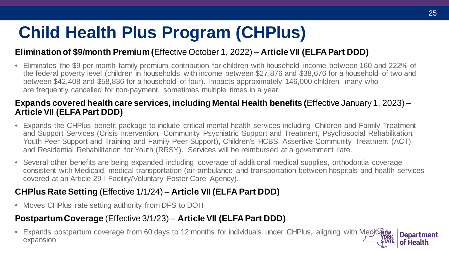## **Child Health Plus Program (CHPlus)**

### **Elimination of \$9/month Premium (**Effective October 1, 2022) – **Article VII (ELFA Part DDD)**

 • Eliminates the \$9 per month family premium contribution for children with household income between 160 and 222% of the federal poverty level (children in households with income between \$27,876 and \$38,676 for a household of two and are frequently cancelled for non-payment, sometimes multiple times in a year. between \$42,408 and \$58,836 for a household of four). Impacts approximately 146,000 children, many who

#### **Expands covered health care services, including Mental Health benefits (**Effective January 1, 2023) – **Article VII (ELFA Part DDD)**

- • Expands the CHPlus benefit package to include critical mental health services including Children and Family Treatment and Support Services (Crisis Intervention, Community Psychiatric Support and Treatment, Psychosocial Rehabilitation, Youth Peer Support and Training and Family Peer Support), Children's HCBS, Assertive Community Treatment (ACT) and Residential Rehabilitation for Youth (RRSY). Services will be reimbursed at a government rate.
- • Several other benefits are being expanded including coverage of additional medical supplies, orthodontia coverage consistent with Medicaid, medical transportation (air-ambulance and transportation between hospitals and health services covered at an Article 29-I Facility/Voluntary Foster Care Agency).

### **CHPlus Rate Setting** (Effective 1/1/24) – **Article VII (ELFA Part DDD)**

• Moves CHPlus rate setting authority from DFS to DOH

### **Postpartum Coverage** (Effective 3/1/23) – **Article VII (ELFA Part DDD)**

Aedicaliew<br>**Accord Space**<br>STATI **YORK ATE Department** of Health • Expands postpartum coverage from 60 days to 12 months for individuals under CHPlus, aligning with Medicalidy expansion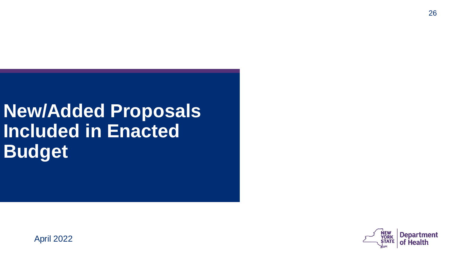# **New/Added Proposals Included in Enacted Budget**



April 2022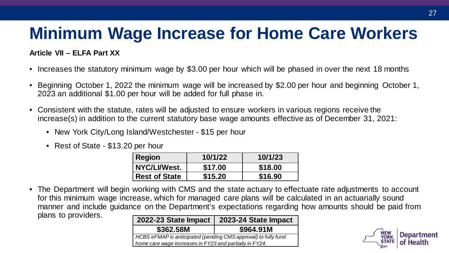## **Minimum Wage Increase for Home Care Workers**

#### **Article VII – ELFA Part XX**

- Increases the statutory minimum wage by \$3.00 per hour which will be phased in over the next 18 months
- • Beginning October 1, 2022 the minimum wage will be increased by \$2.00 per hour and beginning October 1, 2023 an additional \$1.00 per hour will be added for full phase in.
- • Consistent with the statute, rates will be adjusted to ensure workers in various regions receive the increase(s) in addition to the current statutory base wage amounts effective as of December 31, 2021:
	- New York City/Long Island/Westchester \$15 per hour
	- Rest of State \$13.20 per hour

| <b>Region</b>        | 10/1/22 | 10/1/23 |
|----------------------|---------|---------|
| NYC/LI/West.         | \$17.00 | \$18.00 |
| <b>Rest of State</b> | \$15.20 | \$16.90 |

 • The Department will begin working with CMS and the state actuary to effectuate rate adjustments to account for this minimum wage increase, which for managed care plans will be calculated in an actuarially sound manner and include guidance on the Department's expectations regarding how amounts should be paid from plans to providers.

| 2022-23 State Impact                                                                                                      | 2023-24 State Impact |  |
|---------------------------------------------------------------------------------------------------------------------------|----------------------|--|
| \$362.58M                                                                                                                 | \$964.91M            |  |
| HCBS eFMAP is anticipated (pending CMS approval) to fully fund<br>home care wage increases in FY23 and partially in FY24. |                      |  |

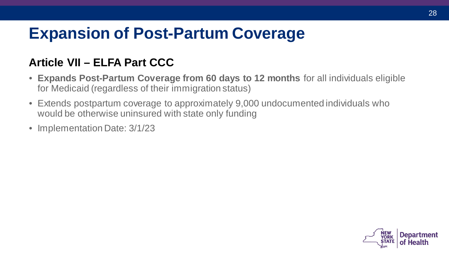## **Expansion of Post-Partum Coverage**

## **Article VII – ELFA Part CCC**

- **Expands Post-Partum Coverage from 60 days to 12 months** for all individuals eligible for Medicaid (regardless of their immigration status)
- Extends postpartum coverage to approximately 9,000 undocumented individuals who would be otherwise uninsured with state only funding
- Implementation Date: 3/1/23

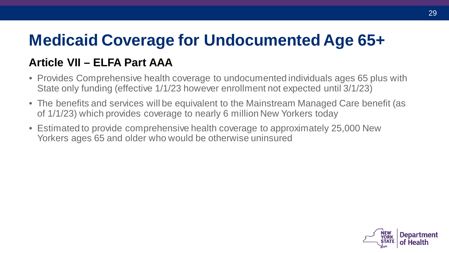## **Medicaid Coverage for Undocumented Age 65+**

## **Article VII – ELFA Part AAA**

- State only funding (effective 1/1/23 however enrollment not expected until 3/1/23) • Provides Comprehensive health coverage to undocumented individuals ages 65 plus with
- • The benefits and services will be equivalent to the Mainstream Managed Care benefit (as of 1/1/23) which provides coverage to nearly 6 million New Yorkers today
- Estimated to provide comprehensive health coverage to approximately 25,000 New Yorkers ages 65 and older who would be otherwise uninsured

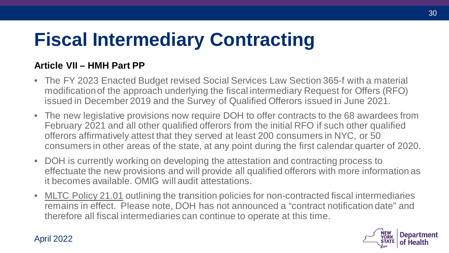# **Fiscal Intermediary Contracting**

### **Article VII – HMH Part PP**

- modificationof the approach underlying the fiscal intermediary Request for Offers (RFO) • The FY 2023 Enacted Budget revised Social Services Law Section 365-f with a material issued in December 2019 and the Survey of Qualified Offerors issued in June 2021.
- • The new legislative provisions now require DOH to offer contracts to the 68 awardees from offerors affirmatively attest that they served at least 200 consumers in NYC, or 50 consumers in other areas of the state, at any point during the first calendar quarter of 2020. February 2021 and all other qualified offerors from the initial RFO if such other qualified
- • DOH is currently working on developing the attestation and contracting process to it becomes available. OMIG will audit attestations. effectuate the new provisions and will provide all qualified offerors with more information as
- MLTC Policy 21.01 outlining the transition policies for non-contracted fiscal intermediaries remains in effect. Please note, DOH has not announced a "contract notification date" and therefore all fiscal intermediaries can continue to operate at this time.



#### April 2022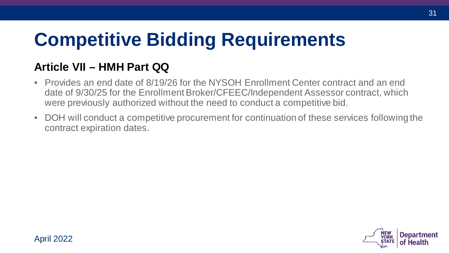# **Competitive Bidding Requirements**

## **Article VII – HMH Part QQ**

- • Provides an end date of 8/19/26 for the NYSOH Enrollment Center contract and an end date of 9/30/25 for the Enrollment Broker/CFEEC/Independent Assessor contract, which were previously authorized without the need to conduct a competitive bid.
- • DOH will conduct a competitive procurement for continuation of these services following the contract expiration dates.

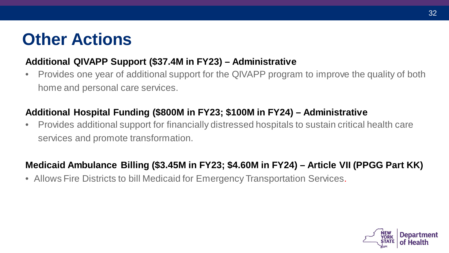## **Other Actions**

### **Additional QIVAPP Support (\$37.4M in FY23) – Administrative**

 • Provides one year of additional support for the QIVAPP program to improve the quality of both home and personal care services.

## **Additional Hospital Funding (\$800M in FY23; \$100M in FY24) – Administrative**

 • Provides additional support for financially distressed hospitals to sustain critical health care services and promote transformation.

### **Medicaid Ambulance Billing (\$3.45M in FY23; \$4.60M in FY24) – Article VII (PPGG Part KK)**

• Allows Fire Districts to bill Medicaid for Emergency Transportation Services.

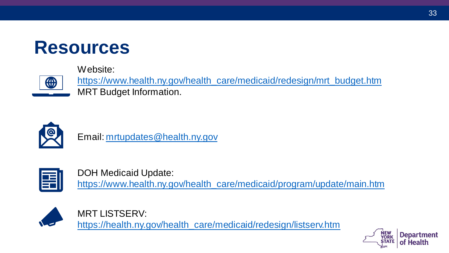

#### Website:



[https://www.health.ny.gov/health\\_care/medicaid/redesign/mrt\\_budget.htm](https://www.health.ny.gov/health_care/medicaid/redesign/mrt_budget.htm)  MRT Budget Information.



Email: [mrtupdates@health.ny.gov](mailto:mrtupdates@health.ny.gov)



DOH Medicaid Update: [https://www.health.ny.gov/health\\_care/medicaid/program/update/main.htm](https://www.health.ny.gov/health_care/medicaid/program/update/main.htm)



MRT LISTSERV: [https://health.ny.gov/health\\_care/medicaid/redesign/listserv.htm](https://health.ny.gov/health_care/medicaid/redesign/listserv.htm)